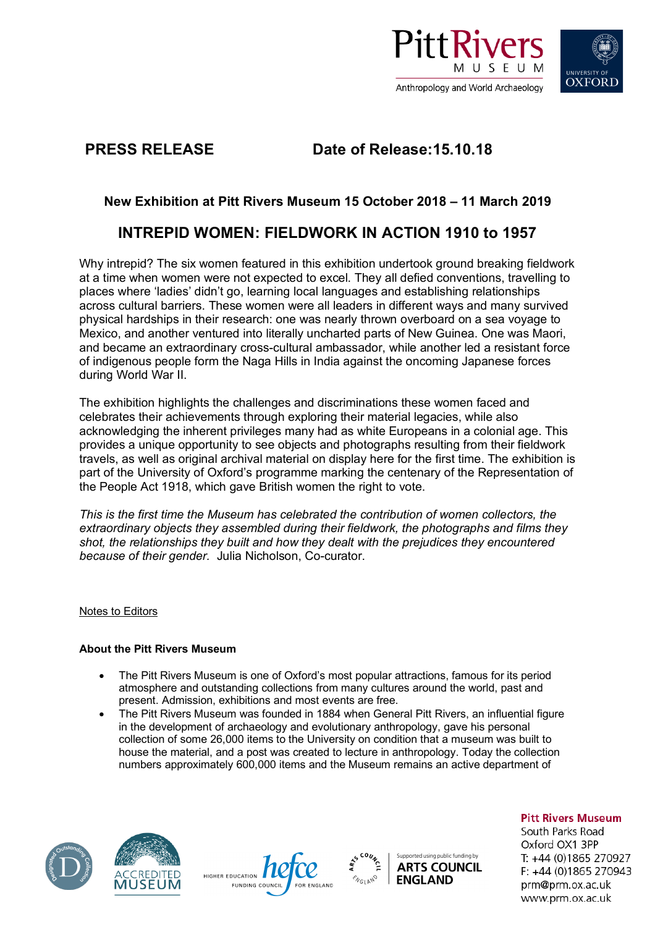



**PRESS RELEASE Date of Release:15.10.18** 

## **New Exhibition at Pitt Rivers Museum 15 October 2018 – 11 March 2019**

# **INTREPID WOMEN: FIELDWORK IN ACTION 1910 to 1957**

Why intrepid? The six women featured in this exhibition undertook ground breaking fieldwork at a time when women were not expected to excel. They all defied conventions, travelling to places where 'ladies' didn't go, learning local languages and establishing relationships across cultural barriers. These women were all leaders in different ways and many survived physical hardships in their research: one was nearly thrown overboard on a sea voyage to Mexico, and another ventured into literally uncharted parts of New Guinea. One was Maori, and became an extraordinary cross-cultural ambassador, while another led a resistant force of indigenous people form the Naga Hills in India against the oncoming Japanese forces during World War II.

The exhibition highlights the challenges and discriminations these women faced and celebrates their achievements through exploring their material legacies, while also acknowledging the inherent privileges many had as white Europeans in a colonial age. This provides a unique opportunity to see objects and photographs resulting from their fieldwork travels, as well as original archival material on display here for the first time. The exhibition is part of the University of Oxford's programme marking the centenary of the Representation of the People Act 1918, which gave British women the right to vote.

*This is the first time the Museum has celebrated the contribution of women collectors, the extraordinary objects they assembled during their fieldwork, the photographs and films they shot, the relationships they built and how they dealt with the prejudices they encountered because of their gender.* Julia Nicholson, Co-curator.

## Notes to Editors

## **About the Pitt Rivers Museum**

- The Pitt Rivers Museum is one of Oxford's most popular attractions, famous for its period atmosphere and outstanding collections from many cultures around the world, past and present. Admission, exhibitions and most events are free.
- The Pitt Rivers Museum was founded in 1884 when General Pitt Rivers, an influential figure in the development of archaeology and evolutionary anthropology, gave his personal collection of some 26,000 items to the University on condition that a museum was built to house the material, and a post was created to lecture in anthropology. Today the collection numbers approximately 600,000 items and the Museum remains an active department of









**Pitt Rivers Museum** 

South Parks Road Oxford OX1 3PP T: +44 (0)1865 270927 F: +44 (0)1865 270943 prm@prm.ox.ac.uk www.prm.ox.ac.uk